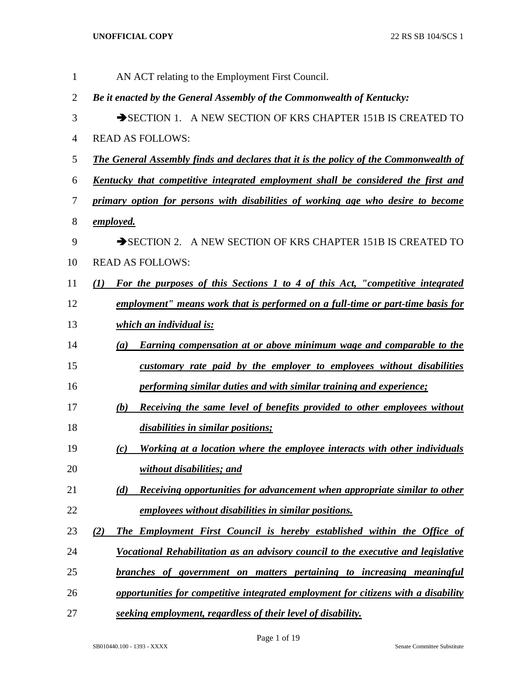| $\mathbf{1}$   | AN ACT relating to the Employment First Council.                                                  |  |  |  |  |  |  |  |  |
|----------------|---------------------------------------------------------------------------------------------------|--|--|--|--|--|--|--|--|
| $\overline{2}$ | Be it enacted by the General Assembly of the Commonwealth of Kentucky:                            |  |  |  |  |  |  |  |  |
| 3              | SECTION 1. A NEW SECTION OF KRS CHAPTER 151B IS CREATED TO                                        |  |  |  |  |  |  |  |  |
| $\overline{4}$ | <b>READ AS FOLLOWS:</b>                                                                           |  |  |  |  |  |  |  |  |
| 5              | <b>The General Assembly finds and declares that it is the policy of the Commonwealth of</b>       |  |  |  |  |  |  |  |  |
| 6              | <u>Kentucky that competitive integrated employment shall be considered the first and</u>          |  |  |  |  |  |  |  |  |
| 7              | primary option for persons with disabilities of working age who desire to become                  |  |  |  |  |  |  |  |  |
| 8              | <u>employed.</u>                                                                                  |  |  |  |  |  |  |  |  |
| 9              | SECTION 2. A NEW SECTION OF KRS CHAPTER 151B IS CREATED TO                                        |  |  |  |  |  |  |  |  |
| 10             | <b>READ AS FOLLOWS:</b>                                                                           |  |  |  |  |  |  |  |  |
| 11             | For the purposes of this Sections 1 to 4 of this Act, "competitive integrated<br>$\mathcal{L}(I)$ |  |  |  |  |  |  |  |  |
| 12             | employment" means work that is performed on a full-time or part-time basis for                    |  |  |  |  |  |  |  |  |
| 13             | which an individual is:                                                                           |  |  |  |  |  |  |  |  |
| 14             | <b>Earning compensation at or above minimum wage and comparable to the</b><br>$\left(a\right)$    |  |  |  |  |  |  |  |  |
| 15             | customary rate paid by the employer to employees without disabilities                             |  |  |  |  |  |  |  |  |
| 16             | performing similar duties and with similar training and experience;                               |  |  |  |  |  |  |  |  |
| 17             | Receiving the same level of benefits provided to other employees without<br>(b)                   |  |  |  |  |  |  |  |  |
| 18             | disabilities in similar positions;                                                                |  |  |  |  |  |  |  |  |
| 19             | Working at a location where the employee interacts with other individuals<br>(c)                  |  |  |  |  |  |  |  |  |
| 20             | without disabilities; and                                                                         |  |  |  |  |  |  |  |  |
| 21             | <b>Receiving opportunities for advancement when appropriate similar to other</b><br>(d)           |  |  |  |  |  |  |  |  |
| 22             | employees without disabilities in similar positions.                                              |  |  |  |  |  |  |  |  |
| 23             | The Employment First Council is hereby established within the Office of<br>(2)                    |  |  |  |  |  |  |  |  |
| 24             | Vocational Rehabilitation as an advisory council to the executive and legislative                 |  |  |  |  |  |  |  |  |
| 25             | branches of government on matters pertaining to increasing meaningful                             |  |  |  |  |  |  |  |  |
| 26             | opportunities for competitive integrated employment for citizens with a disability                |  |  |  |  |  |  |  |  |
| 27             | seeking employment, regardless of their level of disability.                                      |  |  |  |  |  |  |  |  |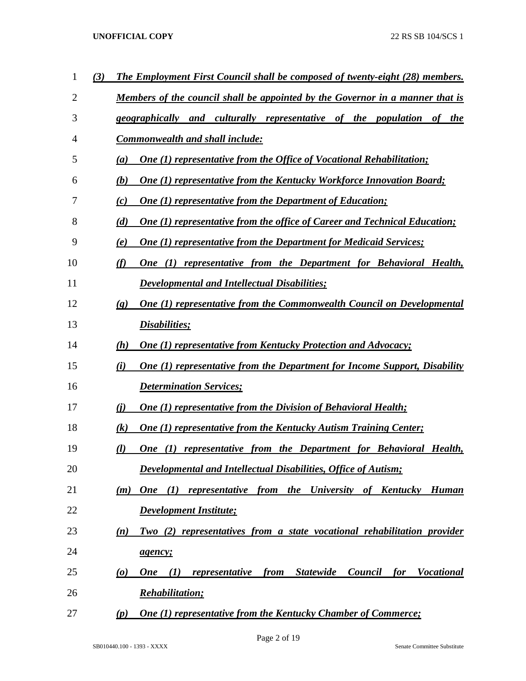| 1              | (3) | <b>The Employment First Council shall be composed of twenty-eight (28) members.</b>                                                    |
|----------------|-----|----------------------------------------------------------------------------------------------------------------------------------------|
| $\overline{2}$ |     | <u>Members of the council shall be appointed by the Governor in a manner that is</u>                                                   |
| 3              |     | geographically and culturally representative of the population of the                                                                  |
| 4              |     | <b>Commonwealth and shall include:</b>                                                                                                 |
| 5              |     | <b>One (1) representative from the Office of Vocational Rehabilitation;</b><br>(a)                                                     |
| 6              |     | <b>One (1) representative from the Kentucky Workforce Innovation Board;</b><br>(b)                                                     |
| 7              |     | <b>One (1) representative from the Department of Education;</b><br>(c)                                                                 |
| 8              |     | <b>One (1) representative from the office of Career and Technical Education;</b><br>(d)                                                |
| 9              |     | <b>One (1) representative from the Department for Medicaid Services;</b><br>(e)                                                        |
| 10             |     | One (1) representative from the Department for Behavioral Health,<br>(f)                                                               |
| 11             |     | <b>Developmental and Intellectual Disabilities;</b>                                                                                    |
| 12             |     | One (1) representative from the Commonwealth Council on Developmental<br>$\left( \mathbf{g} \right)$                                   |
| 13             |     | Disabilities;                                                                                                                          |
| 14             |     | <b>One (1) representative from Kentucky Protection and Advocacy;</b><br>(h)                                                            |
| 15             |     | <b>One (1) representative from the Department for Income Support, Disability</b><br>(i)                                                |
| 16             |     | <b>Determination Services;</b>                                                                                                         |
| 17             |     | <b>One (1) representative from the Division of Behavioral Health;</b><br>(i)                                                           |
| 18             |     | <b>One (1) representative from the Kentucky Autism Training Center;</b><br>$\left( k\right)$                                           |
| 19             |     | One (1) representative from the Department for Behavioral Health,<br>(l)                                                               |
| 20             |     | Developmental and Intellectual Disabilities, Office of Autism;                                                                         |
| 21             |     | One (1) representative from the University of Kentucky Human<br>(m)                                                                    |
| 22             |     | <b>Development Institute;</b>                                                                                                          |
| 23             |     | Two (2) representatives from a state vocational rehabilitation provider<br>(n)                                                         |
| 24             |     | agency;                                                                                                                                |
| 25             |     | <b>Statewide</b><br>Council<br><i>for</i><br><b>Vocational</b><br>$\boldsymbol{\omega}$<br><b>One</b><br>(I)<br>representative<br>from |
| 26             |     | <b>Rehabilitation;</b>                                                                                                                 |
| 27             |     | <b>One (1) representative from the Kentucky Chamber of Commerce;</b><br>(p)                                                            |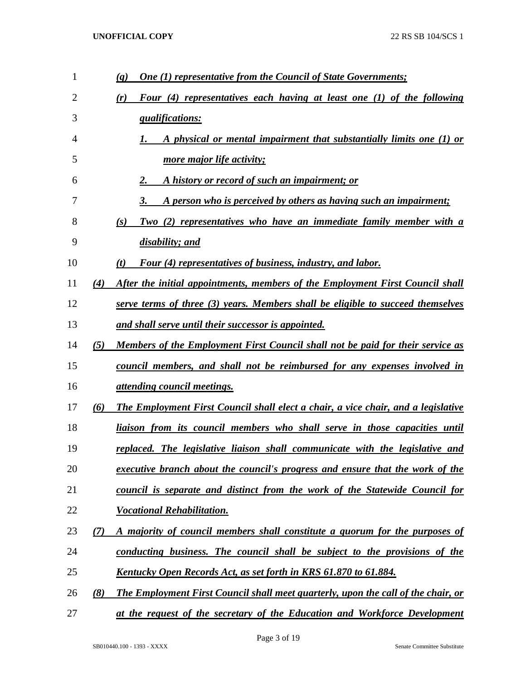| 1  |     | <b>One (1) representative from the Council of State Governments;</b><br>(q)              |
|----|-----|------------------------------------------------------------------------------------------|
| 2  |     | Four (4) representatives each having at least one (1) of the following<br>(r)            |
| 3  |     | <i><u><b>qualifications:</b></u></i>                                                     |
| 4  |     | A physical or mental impairment that substantially limits one (1) or                     |
| 5  |     | <u>more major life activity;</u>                                                         |
| 6  |     | A history or record of such an impairment; or<br>2.                                      |
| 7  |     | A person who is perceived by others as having such an impairment;<br>3.                  |
| 8  |     | Two (2) representatives who have an immediate family member with a<br>(s)                |
| 9  |     | disability; and                                                                          |
| 10 |     | <b>Four (4) representatives of business, industry, and labor.</b><br>(t)                 |
| 11 | (4) | After the initial appointments, members of the Employment First Council shall            |
| 12 |     | serve terms of three (3) years. Members shall be eligible to succeed themselves          |
| 13 |     | and shall serve until their successor is appointed.                                      |
| 14 | (5) | Members of the Employment First Council shall not be paid for their service as           |
| 15 |     | council members, and shall not be reimbursed for any expenses involved in                |
| 16 |     | <i><u><b>attending council meetings.</b></u></i>                                         |
| 17 | (6) | The Employment First Council shall elect a chair, a vice chair, and a legislative        |
| 18 |     | <u>liaison from its council members who shall serve in those capacities until</u>        |
| 19 |     | replaced. The legislative liaison shall communicate with the legislative and             |
| 20 |     | <u>executive branch about the council's progress and ensure that the work of the</u>     |
| 21 |     | council is separate and distinct from the work of the Statewide Council for              |
| 22 |     | <b>Vocational Rehabilitation.</b>                                                        |
| 23 | (7) | A majority of council members shall constitute a quorum for the purposes of              |
| 24 |     | conducting business. The council shall be subject to the provisions of the               |
| 25 |     | Kentucky Open Records Act, as set forth in KRS 61.870 to 61.884.                         |
| 26 | (8) | <b>The Employment First Council shall meet quarterly, upon the call of the chair, or</b> |
| 27 |     | at the request of the secretary of the Education and Workforce Development               |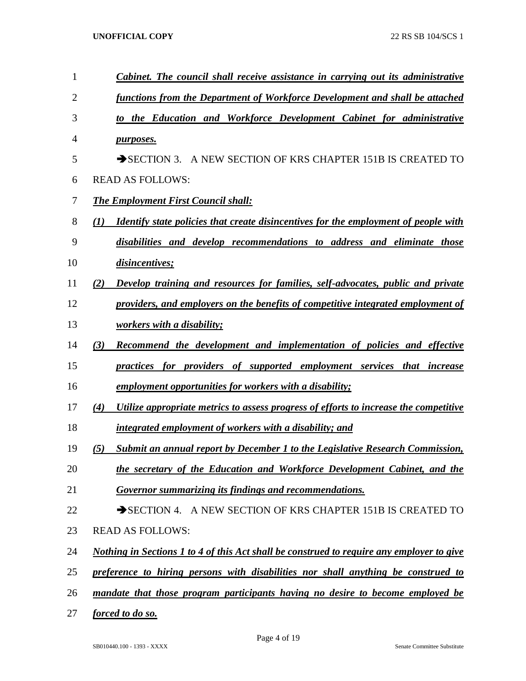| 1              | Cabinet. The council shall receive assistance in carrying out its administrative                  |
|----------------|---------------------------------------------------------------------------------------------------|
| $\overline{2}$ | functions from the Department of Workforce Development and shall be attached                      |
| 3              | to the Education and Workforce Development Cabinet for administrative                             |
| $\overline{4}$ | purposes.                                                                                         |
| 5              | SECTION 3. A NEW SECTION OF KRS CHAPTER 151B IS CREATED TO                                        |
| 6              | <b>READ AS FOLLOWS:</b>                                                                           |
| 7              | <b>The Employment First Council shall:</b>                                                        |
| 8              | <i>Identify state policies that create disincentives for the employment of people with</i><br>(1) |
| 9              | disabilities and develop recommendations to address and eliminate those                           |
| 10             | disincentives;                                                                                    |
| 11             | Develop training and resources for families, self-advocates, public and private<br>(2)            |
| 12             | providers, and employers on the benefits of competitive integrated employment of                  |
| 13             | workers with a disability;                                                                        |
| 14             | (3)<br>Recommend the development and implementation of policies and effective                     |
| 15             | practices for providers of supported employment services that increase                            |
| 16             | employment opportunities for workers with a disability;                                           |
| 17             | (4)<br>Utilize appropriate metrics to assess progress of efforts to increase the competitive      |
| 18             | integrated employment of workers with a disability; and                                           |
| 19             | Submit an annual report by December 1 to the Legislative Research Commission,<br>(5)              |
| 20             | the secretary of the Education and Workforce Development Cabinet, and the                         |
| 21             | Governor summarizing its findings and recommendations.                                            |
| 22             | SECTION 4. A NEW SECTION OF KRS CHAPTER 151B IS CREATED TO                                        |
| 23             | <b>READ AS FOLLOWS:</b>                                                                           |
| 24             | Nothing in Sections 1 to 4 of this Act shall be construed to require any employer to give         |
| 25             | preference to hiring persons with disabilities nor shall anything be construed to                 |
| 26             | mandate that those program participants having no desire to become employed be                    |
| 27             | forced to do so.                                                                                  |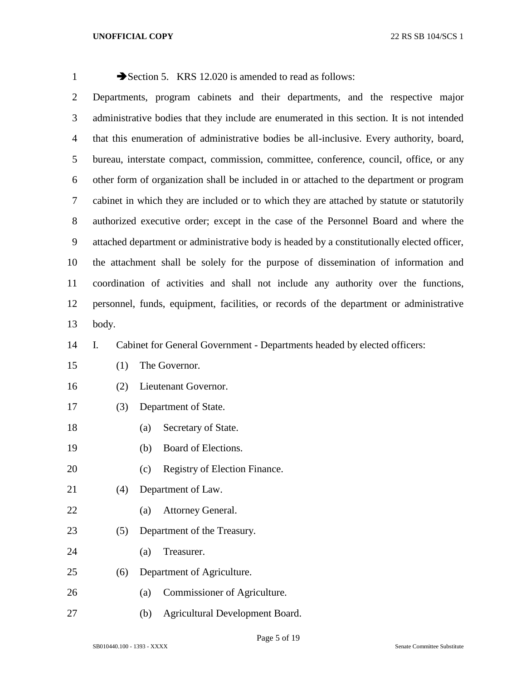| $\mathbf{1}$   |                                                                                            | Section 5. KRS 12.020 is amended to read as follows:                                        |  |  |  |  |  |  |  |  |  |  |
|----------------|--------------------------------------------------------------------------------------------|---------------------------------------------------------------------------------------------|--|--|--|--|--|--|--|--|--|--|
| $\overline{2}$ |                                                                                            | Departments, program cabinets and their departments, and the respective major               |  |  |  |  |  |  |  |  |  |  |
| 3              |                                                                                            | administrative bodies that they include are enumerated in this section. It is not intended  |  |  |  |  |  |  |  |  |  |  |
| $\overline{4}$ |                                                                                            | that this enumeration of administrative bodies be all-inclusive. Every authority, board,    |  |  |  |  |  |  |  |  |  |  |
| 5              |                                                                                            | bureau, interstate compact, commission, committee, conference, council, office, or any      |  |  |  |  |  |  |  |  |  |  |
| 6              | other form of organization shall be included in or attached to the department or program   |                                                                                             |  |  |  |  |  |  |  |  |  |  |
| $\tau$         | cabinet in which they are included or to which they are attached by statute or statutorily |                                                                                             |  |  |  |  |  |  |  |  |  |  |
| $8\,$          |                                                                                            | authorized executive order; except in the case of the Personnel Board and where the         |  |  |  |  |  |  |  |  |  |  |
| 9              |                                                                                            | attached department or administrative body is headed by a constitutionally elected officer, |  |  |  |  |  |  |  |  |  |  |
| 10             | the attachment shall be solely for the purpose of dissemination of information and         |                                                                                             |  |  |  |  |  |  |  |  |  |  |
| 11             |                                                                                            | coordination of activities and shall not include any authority over the functions,          |  |  |  |  |  |  |  |  |  |  |
| 12             |                                                                                            | personnel, funds, equipment, facilities, or records of the department or administrative     |  |  |  |  |  |  |  |  |  |  |
| 13             | body.                                                                                      |                                                                                             |  |  |  |  |  |  |  |  |  |  |
| 14             | Ι.                                                                                         | Cabinet for General Government - Departments headed by elected officers:                    |  |  |  |  |  |  |  |  |  |  |
| 15             | (1)                                                                                        | The Governor.                                                                               |  |  |  |  |  |  |  |  |  |  |
| 16             | (2)                                                                                        | Lieutenant Governor.                                                                        |  |  |  |  |  |  |  |  |  |  |
| 17             | (3)                                                                                        | Department of State.                                                                        |  |  |  |  |  |  |  |  |  |  |
| 18             |                                                                                            | Secretary of State.<br>(a)                                                                  |  |  |  |  |  |  |  |  |  |  |
| 19             |                                                                                            | Board of Elections.<br>(b)                                                                  |  |  |  |  |  |  |  |  |  |  |
| 20             |                                                                                            | Registry of Election Finance.<br>(c)                                                        |  |  |  |  |  |  |  |  |  |  |
| 21             | (4)                                                                                        | Department of Law.                                                                          |  |  |  |  |  |  |  |  |  |  |
| 22             |                                                                                            | Attorney General.<br>(a)                                                                    |  |  |  |  |  |  |  |  |  |  |
| 23             | (5)                                                                                        | Department of the Treasury.                                                                 |  |  |  |  |  |  |  |  |  |  |
| 24             |                                                                                            | Treasurer.<br>(a)                                                                           |  |  |  |  |  |  |  |  |  |  |
| 25             | (6)                                                                                        | Department of Agriculture.                                                                  |  |  |  |  |  |  |  |  |  |  |
| 26             |                                                                                            | Commissioner of Agriculture.<br>(a)                                                         |  |  |  |  |  |  |  |  |  |  |

(b) Agricultural Development Board.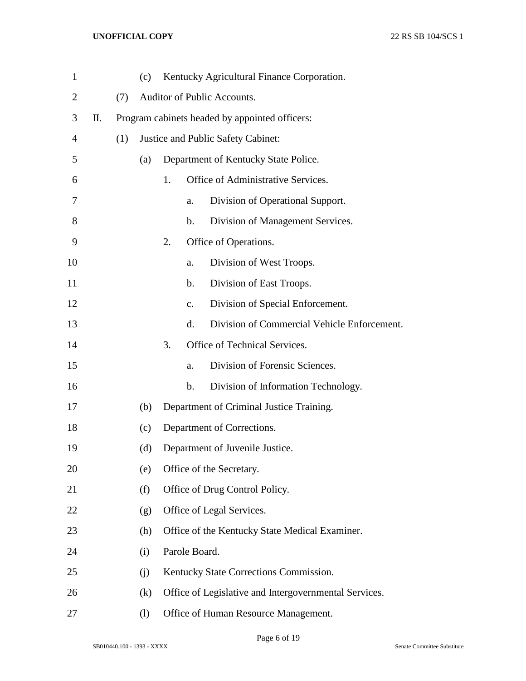| $\mathbf{1}$   |    |     | (c)                                            |    |               | Kentucky Agricultural Finance Corporation.            |  |  |  |  |
|----------------|----|-----|------------------------------------------------|----|---------------|-------------------------------------------------------|--|--|--|--|
| $\overline{2}$ |    | (7) |                                                |    |               | Auditor of Public Accounts.                           |  |  |  |  |
| 3              | П. |     | Program cabinets headed by appointed officers: |    |               |                                                       |  |  |  |  |
| 4              |    | (1) |                                                |    |               | Justice and Public Safety Cabinet:                    |  |  |  |  |
| 5              |    |     | (a)                                            |    |               | Department of Kentucky State Police.                  |  |  |  |  |
| 6              |    |     |                                                | 1. |               | Office of Administrative Services.                    |  |  |  |  |
| 7              |    |     |                                                |    | a.            | Division of Operational Support.                      |  |  |  |  |
| 8              |    |     |                                                |    | b.            | Division of Management Services.                      |  |  |  |  |
| 9              |    |     |                                                | 2. |               | Office of Operations.                                 |  |  |  |  |
| 10             |    |     |                                                |    | a.            | Division of West Troops.                              |  |  |  |  |
| 11             |    |     |                                                |    | b.            | Division of East Troops.                              |  |  |  |  |
| 12             |    |     |                                                |    | $C_{\bullet}$ | Division of Special Enforcement.                      |  |  |  |  |
| 13             |    |     |                                                |    | d.            | Division of Commercial Vehicle Enforcement.           |  |  |  |  |
| 14             |    |     |                                                | 3. |               | Office of Technical Services.                         |  |  |  |  |
| 15             |    |     |                                                |    | a.            | Division of Forensic Sciences.                        |  |  |  |  |
| 16             |    |     |                                                |    | b.            | Division of Information Technology.                   |  |  |  |  |
| 17             |    |     | (b)                                            |    |               | Department of Criminal Justice Training.              |  |  |  |  |
| 18             |    |     | (c)                                            |    |               | Department of Corrections.                            |  |  |  |  |
| 19             |    |     | (d)                                            |    |               | Department of Juvenile Justice.                       |  |  |  |  |
| 20             |    |     | (e)                                            |    |               | Office of the Secretary.                              |  |  |  |  |
| 21             |    |     | (f)                                            |    |               | Office of Drug Control Policy.                        |  |  |  |  |
| 22             |    |     | (g)                                            |    |               | Office of Legal Services.                             |  |  |  |  |
| 23             |    |     | (h)                                            |    |               | Office of the Kentucky State Medical Examiner.        |  |  |  |  |
| 24             |    |     | (i)                                            |    | Parole Board. |                                                       |  |  |  |  |
| 25             |    |     | (j)                                            |    |               | Kentucky State Corrections Commission.                |  |  |  |  |
| 26             |    |     | (k)                                            |    |               | Office of Legislative and Intergovernmental Services. |  |  |  |  |
| 27             |    |     | $\left( \frac{1}{2} \right)$                   |    |               | Office of Human Resource Management.                  |  |  |  |  |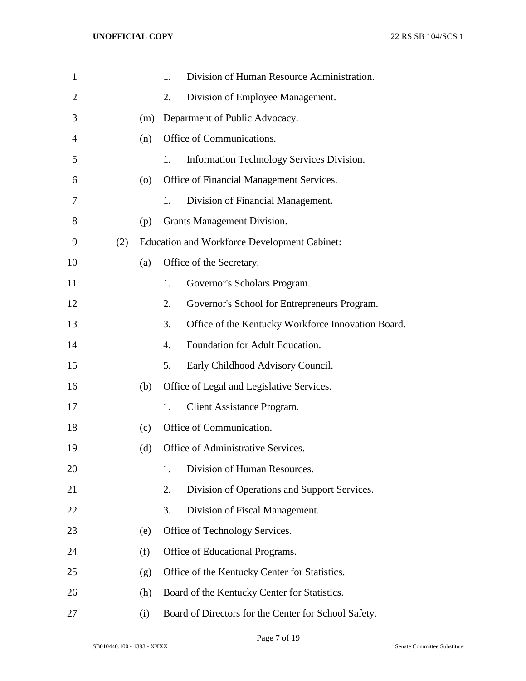| $\mathbf{1}$   |     |     | 1. | Division of Human Resource Administration.           |
|----------------|-----|-----|----|------------------------------------------------------|
| $\overline{2}$ |     |     | 2. | Division of Employee Management.                     |
| 3              |     | (m) |    | Department of Public Advocacy.                       |
| $\overline{4}$ |     | (n) |    | Office of Communications.                            |
| 5              |     |     | 1. | Information Technology Services Division.            |
| 6              |     | (0) |    | Office of Financial Management Services.             |
| 7              |     |     | 1. | Division of Financial Management.                    |
| 8              |     | (p) |    | Grants Management Division.                          |
| 9              | (2) |     |    | <b>Education and Workforce Development Cabinet:</b>  |
| 10             |     | (a) |    | Office of the Secretary.                             |
| 11             |     |     | 1. | Governor's Scholars Program.                         |
| 12             |     |     | 2. | Governor's School for Entrepreneurs Program.         |
| 13             |     |     | 3. | Office of the Kentucky Workforce Innovation Board.   |
| 14             |     |     | 4. | Foundation for Adult Education.                      |
| 15             |     |     | 5. | Early Childhood Advisory Council.                    |
| 16             |     | (b) |    | Office of Legal and Legislative Services.            |
| 17             |     |     | 1. | <b>Client Assistance Program.</b>                    |
| 18             |     | (c) |    | Office of Communication.                             |
| 19             |     | (d) |    | Office of Administrative Services.                   |
| 20             |     |     | 1. | Division of Human Resources.                         |
| 21             |     |     | 2. | Division of Operations and Support Services.         |
| 22             |     |     | 3. | Division of Fiscal Management.                       |
| 23             |     | (e) |    | Office of Technology Services.                       |
| 24             |     | (f) |    | Office of Educational Programs.                      |
| 25             |     | (g) |    | Office of the Kentucky Center for Statistics.        |
| 26             |     | (h) |    | Board of the Kentucky Center for Statistics.         |
| 27             |     | (i) |    | Board of Directors for the Center for School Safety. |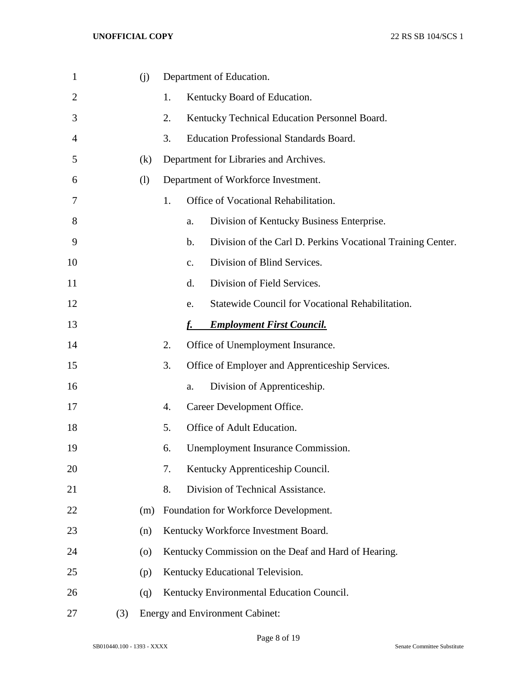| $\mathbf 1$    |     | (i) |    | Department of Education.                                                     |
|----------------|-----|-----|----|------------------------------------------------------------------------------|
| $\overline{2}$ |     |     | 1. | Kentucky Board of Education.                                                 |
| 3              |     |     | 2. | Kentucky Technical Education Personnel Board.                                |
| $\overline{4}$ |     |     | 3. | <b>Education Professional Standards Board.</b>                               |
| 5              |     | (k) |    | Department for Libraries and Archives.                                       |
| 6              |     | (1) |    | Department of Workforce Investment.                                          |
| 7              |     |     | 1. | Office of Vocational Rehabilitation.                                         |
| 8              |     |     |    | Division of Kentucky Business Enterprise.<br>a.                              |
| 9              |     |     |    | Division of the Carl D. Perkins Vocational Training Center.<br>$\mathbf b$ . |
| 10             |     |     |    | Division of Blind Services.<br>$\mathbf{C}$ .                                |
| 11             |     |     |    | d.<br>Division of Field Services.                                            |
| 12             |     |     |    | Statewide Council for Vocational Rehabilitation.<br>e.                       |
| 13             |     |     |    | <b>Employment First Council.</b>                                             |
| 14             |     |     | 2. | Office of Unemployment Insurance.                                            |
| 15             |     |     | 3. | Office of Employer and Apprenticeship Services.                              |
| 16             |     |     |    | Division of Apprenticeship.<br>a.                                            |
| 17             |     |     | 4. | Career Development Office.                                                   |
| 18             |     |     | 5. | Office of Adult Education.                                                   |
| 19             |     |     | 6. | Unemployment Insurance Commission.                                           |
| 20             |     |     | 7. | Kentucky Apprenticeship Council.                                             |
| 21             |     |     | 8. | Division of Technical Assistance.                                            |
| 22             |     | (m) |    | Foundation for Workforce Development.                                        |
| 23             |     | (n) |    | Kentucky Workforce Investment Board.                                         |
| 24             |     | (0) |    | Kentucky Commission on the Deaf and Hard of Hearing.                         |
| 25             |     | (p) |    | Kentucky Educational Television.                                             |
| 26             |     | (q) |    | Kentucky Environmental Education Council.                                    |
| 27             | (3) |     |    | <b>Energy and Environment Cabinet:</b>                                       |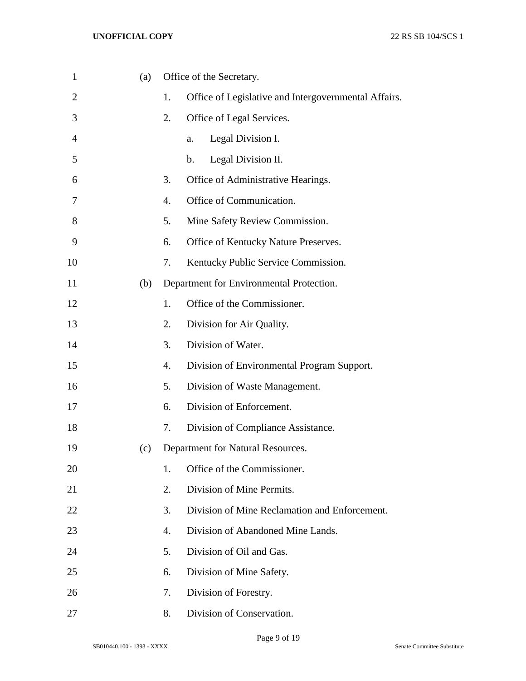| $\mathbf{1}$   | (a) |    | Office of the Secretary.                             |
|----------------|-----|----|------------------------------------------------------|
| $\overline{2}$ |     | 1. | Office of Legislative and Intergovernmental Affairs. |
| 3              |     | 2. | Office of Legal Services.                            |
| $\overline{4}$ |     |    | Legal Division I.<br>a.                              |
| 5              |     |    | Legal Division II.<br>$\mathbf b$ .                  |
| 6              |     | 3. | Office of Administrative Hearings.                   |
| 7              |     | 4. | Office of Communication.                             |
| 8              |     | 5. | Mine Safety Review Commission.                       |
| 9              |     | 6. | Office of Kentucky Nature Preserves.                 |
| 10             |     | 7. | Kentucky Public Service Commission.                  |
| 11             | (b) |    | Department for Environmental Protection.             |
| 12             |     | 1. | Office of the Commissioner.                          |
| 13             |     | 2. | Division for Air Quality.                            |
| 14             |     | 3. | Division of Water.                                   |
| 15             |     | 4. | Division of Environmental Program Support.           |
| 16             |     | 5. | Division of Waste Management.                        |
| 17             |     | 6. | Division of Enforcement.                             |
| 18             |     | 7. | Division of Compliance Assistance.                   |
| 19             | (c) |    | Department for Natural Resources.                    |
| 20             |     | 1. | Office of the Commissioner.                          |
| 21             |     | 2. | Division of Mine Permits.                            |
| 22             |     | 3. | Division of Mine Reclamation and Enforcement.        |
| 23             |     | 4. | Division of Abandoned Mine Lands.                    |
| 24             |     | 5. | Division of Oil and Gas.                             |
| 25             |     | 6. | Division of Mine Safety.                             |
| 26             |     | 7. | Division of Forestry.                                |
| 27             |     | 8. | Division of Conservation.                            |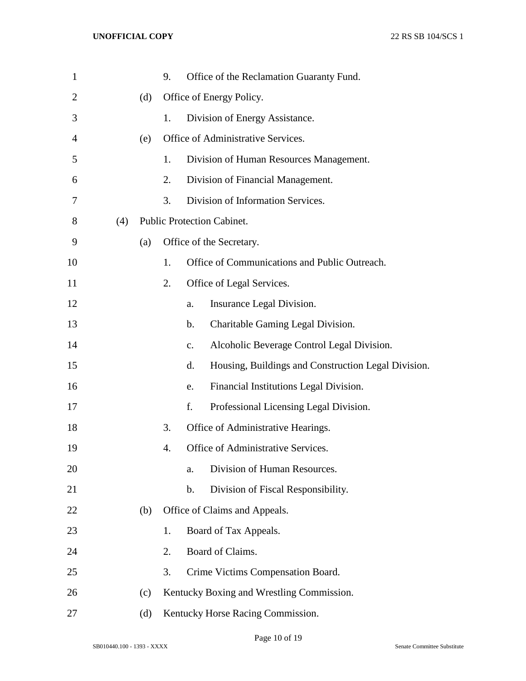| $\mathbf{1}$   |     |     | 9. | Office of the Reclamation Guaranty Fund.                     |
|----------------|-----|-----|----|--------------------------------------------------------------|
| $\overline{2}$ |     | (d) |    | Office of Energy Policy.                                     |
| 3              |     |     | 1. | Division of Energy Assistance.                               |
| 4              |     | (e) |    | Office of Administrative Services.                           |
| 5              |     |     | 1. | Division of Human Resources Management.                      |
| 6              |     |     | 2. | Division of Financial Management.                            |
| 7              |     |     | 3. | Division of Information Services.                            |
| 8              | (4) |     |    | Public Protection Cabinet.                                   |
| 9              |     | (a) |    | Office of the Secretary.                                     |
| 10             |     |     | 1. | Office of Communications and Public Outreach.                |
| 11             |     |     | 2. | Office of Legal Services.                                    |
| 12             |     |     |    | Insurance Legal Division.<br>a.                              |
| 13             |     |     |    | Charitable Gaming Legal Division.<br>b.                      |
| 14             |     |     |    | Alcoholic Beverage Control Legal Division.<br>$\mathbf{c}$ . |
| 15             |     |     |    | Housing, Buildings and Construction Legal Division.<br>d.    |
| 16             |     |     |    | Financial Institutions Legal Division.<br>e.                 |
| 17             |     |     |    | f.<br>Professional Licensing Legal Division.                 |
| 18             |     |     | 3. | Office of Administrative Hearings.                           |
| 19             |     |     | 4. | Office of Administrative Services.                           |
| 20             |     |     |    | Division of Human Resources.<br>a.                           |
| 21             |     |     |    | Division of Fiscal Responsibility.<br>b.                     |
| 22             |     | (b) |    | Office of Claims and Appeals.                                |
| 23             |     |     | 1. | Board of Tax Appeals.                                        |
| 24             |     |     | 2. | Board of Claims.                                             |
| 25             |     |     | 3. | Crime Victims Compensation Board.                            |
| 26             |     | (c) |    | Kentucky Boxing and Wrestling Commission.                    |
| 27             |     | (d) |    | Kentucky Horse Racing Commission.                            |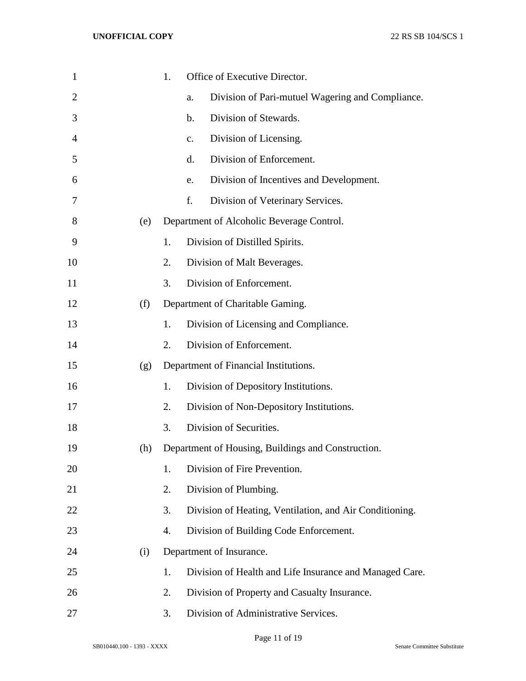| $\mathbf{1}$   |     | 1. | Office of Executive Director.                           |
|----------------|-----|----|---------------------------------------------------------|
| $\overline{2}$ |     |    | Division of Pari-mutuel Wagering and Compliance.<br>a.  |
| 3              |     |    | Division of Stewards.<br>b.                             |
| 4              |     |    | Division of Licensing.<br>$C_{\bullet}$                 |
| 5              |     |    | Division of Enforcement.<br>d.                          |
| 6              |     |    | Division of Incentives and Development.<br>e.           |
| 7              |     |    | f.<br>Division of Veterinary Services.                  |
| 8              | (e) |    | Department of Alcoholic Beverage Control.               |
| 9              |     | 1. | Division of Distilled Spirits.                          |
| 10             |     | 2. | Division of Malt Beverages.                             |
| 11             |     | 3. | Division of Enforcement.                                |
| 12             | (f) |    | Department of Charitable Gaming.                        |
| 13             |     | 1. | Division of Licensing and Compliance.                   |
| 14             |     | 2. | Division of Enforcement.                                |
| 15             | (g) |    | Department of Financial Institutions.                   |
| 16             |     | 1. | Division of Depository Institutions.                    |
| 17             |     | 2. | Division of Non-Depository Institutions.                |
| 18             |     | 3. | Division of Securities.                                 |
| 19             | (h) |    | Department of Housing, Buildings and Construction.      |
| 20             |     | 1. | Division of Fire Prevention.                            |
| 21             |     | 2. | Division of Plumbing.                                   |
| 22             |     | 3. | Division of Heating, Ventilation, and Air Conditioning. |
| 23             |     | 4. | Division of Building Code Enforcement.                  |
| 24             | (i) |    | Department of Insurance.                                |
| 25             |     | 1. | Division of Health and Life Insurance and Managed Care. |
| 26             |     | 2. | Division of Property and Casualty Insurance.            |
| 27             |     | 3. | Division of Administrative Services.                    |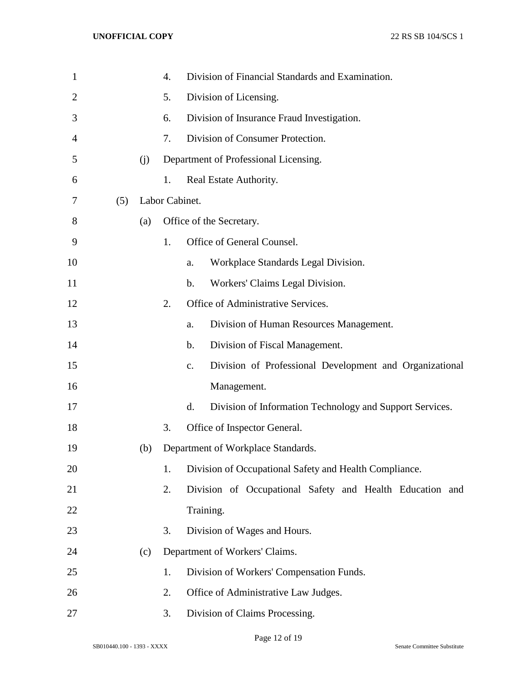| $\mathbf{1}$   |     |     | 4.             |                | Division of Financial Standards and Examination.         |  |  |  |
|----------------|-----|-----|----------------|----------------|----------------------------------------------------------|--|--|--|
| $\overline{2}$ |     |     | 5.             |                | Division of Licensing.                                   |  |  |  |
| 3              |     |     | 6.             |                | Division of Insurance Fraud Investigation.               |  |  |  |
| 4              |     |     | 7.             |                | Division of Consumer Protection.                         |  |  |  |
| 5              |     | (j) |                |                | Department of Professional Licensing.                    |  |  |  |
| 6              |     |     | 1.             |                | Real Estate Authority.                                   |  |  |  |
| 7              | (5) |     | Labor Cabinet. |                |                                                          |  |  |  |
| 8              |     | (a) |                |                | Office of the Secretary.                                 |  |  |  |
| 9              |     |     | 1.             |                | Office of General Counsel.                               |  |  |  |
| 10             |     |     |                | a.             | Workplace Standards Legal Division.                      |  |  |  |
| 11             |     |     |                | $\mathbf b$ .  | Workers' Claims Legal Division.                          |  |  |  |
| 12             |     |     | 2.             |                | Office of Administrative Services.                       |  |  |  |
| 13             |     |     |                | a.             | Division of Human Resources Management.                  |  |  |  |
| 14             |     |     |                | $\mathbf b$ .  | Division of Fiscal Management.                           |  |  |  |
| 15             |     |     |                | $\mathbf{c}$ . | Division of Professional Development and Organizational  |  |  |  |
| 16             |     |     |                |                | Management.                                              |  |  |  |
| 17             |     |     |                | d.             | Division of Information Technology and Support Services. |  |  |  |
| 18             |     |     | 3.             |                | Office of Inspector General.                             |  |  |  |
| 19             |     | (b) |                |                | Department of Workplace Standards.                       |  |  |  |
| 20             |     |     | 1.             |                | Division of Occupational Safety and Health Compliance.   |  |  |  |
| 21             |     |     | 2.             |                | Division of Occupational Safety and Health Education and |  |  |  |
| 22             |     |     |                |                | Training.                                                |  |  |  |
| 23             |     |     | 3.             |                | Division of Wages and Hours.                             |  |  |  |
| 24             |     | (c) |                |                | Department of Workers' Claims.                           |  |  |  |
| 25             |     |     | 1.             |                | Division of Workers' Compensation Funds.                 |  |  |  |
| 26             |     |     | 2.             |                | Office of Administrative Law Judges.                     |  |  |  |
| 27             |     |     | 3.             |                | Division of Claims Processing.                           |  |  |  |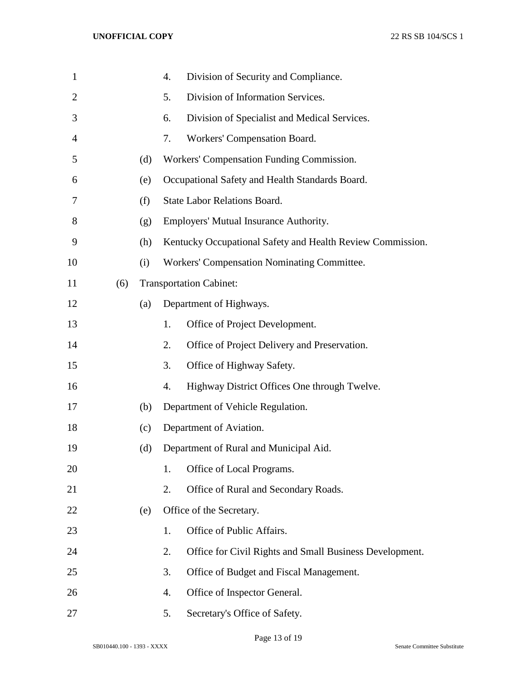| $\mathbf{1}$   |     |     | 4. | Division of Security and Compliance.                       |
|----------------|-----|-----|----|------------------------------------------------------------|
| $\overline{2}$ |     |     | 5. | Division of Information Services.                          |
| 3              |     |     | 6. | Division of Specialist and Medical Services.               |
| 4              |     |     | 7. | Workers' Compensation Board.                               |
| 5              |     | (d) |    | Workers' Compensation Funding Commission.                  |
| 6              |     | (e) |    | Occupational Safety and Health Standards Board.            |
| 7              |     | (f) |    | <b>State Labor Relations Board.</b>                        |
| 8              |     | (g) |    | Employers' Mutual Insurance Authority.                     |
| 9              |     | (h) |    | Kentucky Occupational Safety and Health Review Commission. |
| 10             |     | (i) |    | Workers' Compensation Nominating Committee.                |
| 11             | (6) |     |    | <b>Transportation Cabinet:</b>                             |
| 12             |     | (a) |    | Department of Highways.                                    |
| 13             |     |     | 1. | Office of Project Development.                             |
| 14             |     |     | 2. | Office of Project Delivery and Preservation.               |
| 15             |     |     | 3. | Office of Highway Safety.                                  |
| 16             |     |     | 4. | Highway District Offices One through Twelve.               |
| 17             |     | (b) |    | Department of Vehicle Regulation.                          |
| 18             |     | (c) |    | Department of Aviation.                                    |
| 19             |     | (d) |    | Department of Rural and Municipal Aid.                     |
| 20             |     |     | 1. | Office of Local Programs.                                  |
| 21             |     |     | 2. | Office of Rural and Secondary Roads.                       |
| 22             |     | (e) |    | Office of the Secretary.                                   |
| 23             |     |     | 1. | Office of Public Affairs.                                  |
| 24             |     |     | 2. | Office for Civil Rights and Small Business Development.    |
| 25             |     |     | 3. | Office of Budget and Fiscal Management.                    |
| 26             |     |     | 4. | Office of Inspector General.                               |
| 27             |     |     | 5. | Secretary's Office of Safety.                              |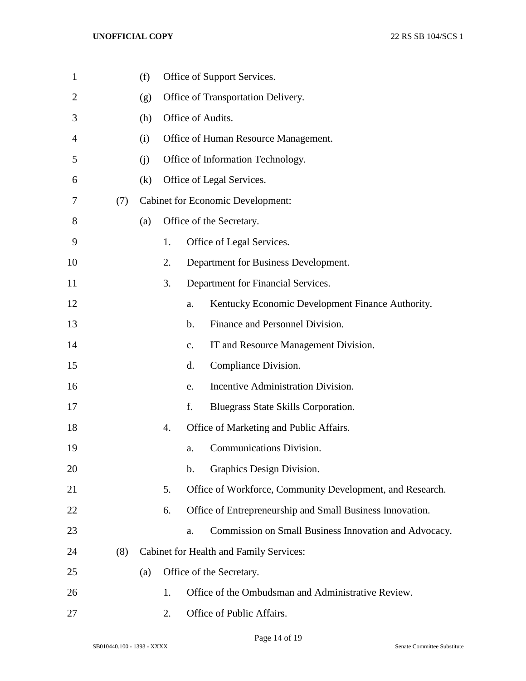| $\mathbf{1}$   |     | (f) |    |                   | Office of Support Services.                               |
|----------------|-----|-----|----|-------------------|-----------------------------------------------------------|
| $\overline{2}$ |     | (g) |    |                   | Office of Transportation Delivery.                        |
| 3              |     | (h) |    | Office of Audits. |                                                           |
| 4              |     | (i) |    |                   | Office of Human Resource Management.                      |
| 5              |     | (i) |    |                   | Office of Information Technology.                         |
| 6              |     | (k) |    |                   | Office of Legal Services.                                 |
| 7              | (7) |     |    |                   | <b>Cabinet for Economic Development:</b>                  |
| 8              |     | (a) |    |                   | Office of the Secretary.                                  |
| 9              |     |     | 1. |                   | Office of Legal Services.                                 |
| 10             |     |     | 2. |                   | Department for Business Development.                      |
| 11             |     |     | 3. |                   | Department for Financial Services.                        |
| 12             |     |     |    | a.                | Kentucky Economic Development Finance Authority.          |
| 13             |     |     |    | $\mathbf{b}$ .    | Finance and Personnel Division.                           |
| 14             |     |     |    | $C_{\bullet}$     | IT and Resource Management Division.                      |
| 15             |     |     |    | d.                | Compliance Division.                                      |
| 16             |     |     |    | e.                | Incentive Administration Division.                        |
| 17             |     |     |    | f.                | Bluegrass State Skills Corporation.                       |
| 18             |     |     | 4. |                   | Office of Marketing and Public Affairs.                   |
| 19             |     |     |    | a.                | <b>Communications Division.</b>                           |
| 20             |     |     |    | $\mathbf b$ .     | Graphics Design Division.                                 |
| 21             |     |     | 5. |                   | Office of Workforce, Community Development, and Research. |
| 22             |     |     | 6. |                   | Office of Entrepreneurship and Small Business Innovation. |
| 23             |     |     |    | a.                | Commission on Small Business Innovation and Advocacy.     |
| 24             | (8) |     |    |                   | Cabinet for Health and Family Services:                   |
| 25             |     | (a) |    |                   | Office of the Secretary.                                  |
| 26             |     |     | 1. |                   | Office of the Ombudsman and Administrative Review.        |
| 27             |     |     | 2. |                   | Office of Public Affairs.                                 |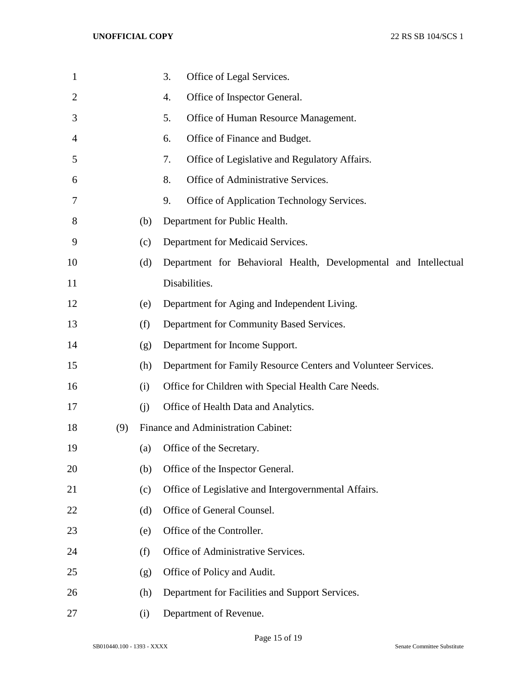| $\mathbf 1$    |     |     | 3.<br>Office of Legal Services.                                  |
|----------------|-----|-----|------------------------------------------------------------------|
| $\overline{2}$ |     |     | Office of Inspector General.<br>4.                               |
| 3              |     |     | 5.<br>Office of Human Resource Management.                       |
| 4              |     |     | Office of Finance and Budget.<br>6.                              |
| 5              |     |     | Office of Legislative and Regulatory Affairs.<br>7.              |
| 6              |     |     | 8.<br>Office of Administrative Services.                         |
| 7              |     |     | 9.<br>Office of Application Technology Services.                 |
| 8              |     | (b) | Department for Public Health.                                    |
| 9              |     | (c) | Department for Medicaid Services.                                |
| 10             |     | (d) | Department for Behavioral Health, Developmental and Intellectual |
| 11             |     |     | Disabilities.                                                    |
| 12             |     | (e) | Department for Aging and Independent Living.                     |
| 13             |     | (f) | Department for Community Based Services.                         |
| 14             |     | (g) | Department for Income Support.                                   |
| 15             |     | (h) | Department for Family Resource Centers and Volunteer Services.   |
| 16             |     | (i) | Office for Children with Special Health Care Needs.              |
| 17             |     | (j) | Office of Health Data and Analytics.                             |
| 18             | (9) |     | Finance and Administration Cabinet:                              |
| 19             |     | (a) | Office of the Secretary.                                         |
| 20             |     | (b) | Office of the Inspector General.                                 |
| 21             |     | (c) | Office of Legislative and Intergovernmental Affairs.             |
| 22             |     | (d) | Office of General Counsel.                                       |
| 23             |     | (e) | Office of the Controller.                                        |
| 24             |     | (f) | Office of Administrative Services.                               |
| 25             |     | (g) | Office of Policy and Audit.                                      |
| 26             |     | (h) | Department for Facilities and Support Services.                  |
| 27             |     | (i) | Department of Revenue.                                           |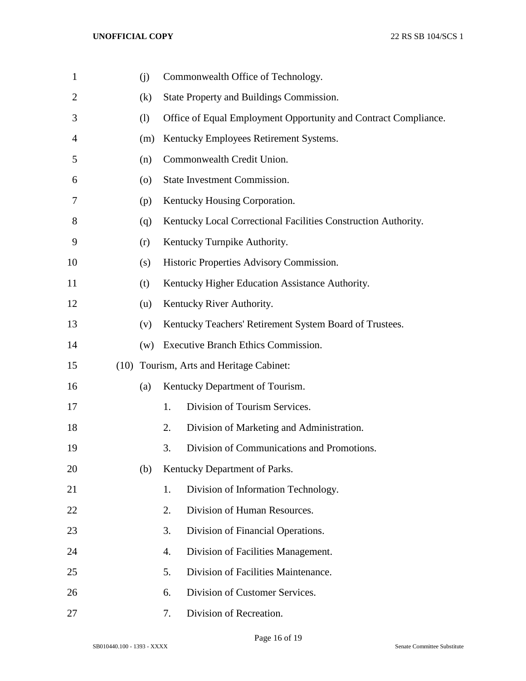| $\mathbf{1}$   | (j)                |    | Commonwealth Office of Technology.                              |
|----------------|--------------------|----|-----------------------------------------------------------------|
| $\overline{2}$ | (k)                |    | State Property and Buildings Commission.                        |
| 3              | (1)                |    | Office of Equal Employment Opportunity and Contract Compliance. |
| 4              | (m)                |    | Kentucky Employees Retirement Systems.                          |
| 5              | (n)                |    | Commonwealth Credit Union.                                      |
| 6              | $\left( 0 \right)$ |    | State Investment Commission.                                    |
| 7              | (p)                |    | Kentucky Housing Corporation.                                   |
| 8              | (q)                |    | Kentucky Local Correctional Facilities Construction Authority.  |
| 9              | (r)                |    | Kentucky Turnpike Authority.                                    |
| 10             | (s)                |    | Historic Properties Advisory Commission.                        |
| 11             | (t)                |    | Kentucky Higher Education Assistance Authority.                 |
| 12             | (u)                |    | Kentucky River Authority.                                       |
| 13             | (v)                |    | Kentucky Teachers' Retirement System Board of Trustees.         |
| 14             | (w)                |    | <b>Executive Branch Ethics Commission.</b>                      |
| 15             |                    |    | (10) Tourism, Arts and Heritage Cabinet:                        |
| 16             | (a)                |    | Kentucky Department of Tourism.                                 |
| 17             |                    | 1. | Division of Tourism Services.                                   |
| 18             |                    | 2. | Division of Marketing and Administration.                       |
| 19             |                    | 3. | Division of Communications and Promotions.                      |
| 20             | (b)                |    | Kentucky Department of Parks.                                   |
| 21             |                    | 1. | Division of Information Technology.                             |
| 22             |                    | 2. | Division of Human Resources.                                    |
| 23             |                    | 3. | Division of Financial Operations.                               |
| 24             |                    | 4. | Division of Facilities Management.                              |
| 25             |                    | 5. | Division of Facilities Maintenance.                             |
| 26             |                    | 6. | Division of Customer Services.                                  |
| 27             |                    | 7. | Division of Recreation.                                         |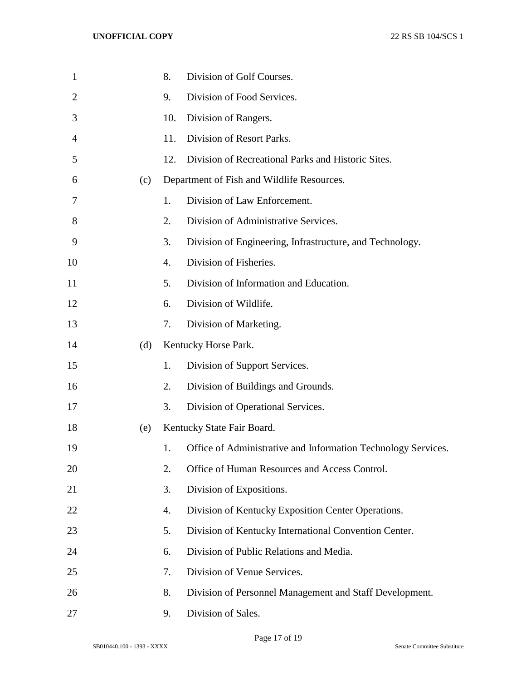| $\mathbf{1}$ |     | 8.  | Division of Golf Courses.                                     |
|--------------|-----|-----|---------------------------------------------------------------|
| 2            |     | 9.  | Division of Food Services.                                    |
| 3            |     | 10. | Division of Rangers.                                          |
| 4            |     | 11. | Division of Resort Parks.                                     |
| 5            |     | 12. | Division of Recreational Parks and Historic Sites.            |
| 6            | (c) |     | Department of Fish and Wildlife Resources.                    |
| 7            |     | 1.  | Division of Law Enforcement.                                  |
| 8            |     | 2.  | Division of Administrative Services.                          |
| 9            |     | 3.  | Division of Engineering, Infrastructure, and Technology.      |
| 10           |     | 4.  | Division of Fisheries.                                        |
| 11           |     | 5.  | Division of Information and Education.                        |
| 12           |     | 6.  | Division of Wildlife.                                         |
| 13           |     | 7.  | Division of Marketing.                                        |
| 14           | (d) |     | Kentucky Horse Park.                                          |
| 15           |     | 1.  | Division of Support Services.                                 |
| 16           |     | 2.  | Division of Buildings and Grounds.                            |
| 17           |     | 3.  | Division of Operational Services.                             |
| 18           | (e) |     | Kentucky State Fair Board.                                    |
| 19           |     | 1.  | Office of Administrative and Information Technology Services. |
| 20           |     | 2.  | Office of Human Resources and Access Control.                 |
| 21           |     | 3.  | Division of Expositions.                                      |
| 22           |     | 4.  | Division of Kentucky Exposition Center Operations.            |
| 23           |     | 5.  | Division of Kentucky International Convention Center.         |
| 24           |     | 6.  | Division of Public Relations and Media.                       |
| 25           |     | 7.  | Division of Venue Services.                                   |
| 26           |     | 8.  | Division of Personnel Management and Staff Development.       |
| 27           |     | 9.  | Division of Sales.                                            |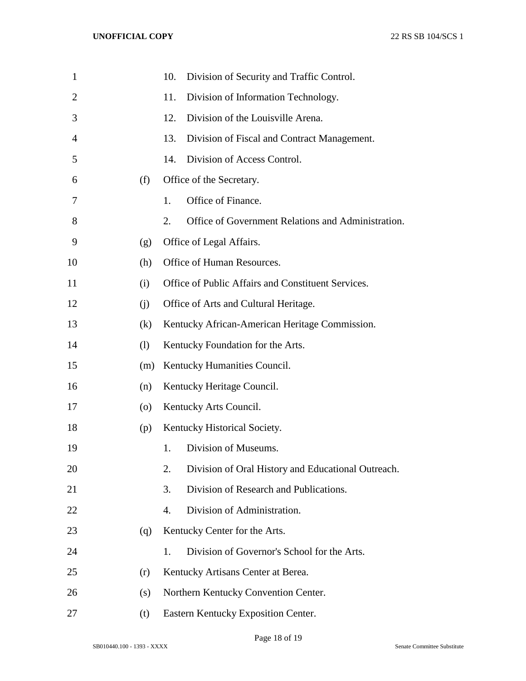| $\mathbf{1}$ |     | 10.<br>Division of Security and Traffic Control.         |
|--------------|-----|----------------------------------------------------------|
| 2            |     | 11.<br>Division of Information Technology.               |
| 3            |     | Division of the Louisville Arena.<br>12.                 |
| 4            |     | Division of Fiscal and Contract Management.<br>13.       |
| 5            |     | Division of Access Control.<br>14.                       |
| 6            | (f) | Office of the Secretary.                                 |
| 7            |     | Office of Finance.<br>1.                                 |
| 8            |     | 2.<br>Office of Government Relations and Administration. |
| 9            | (g) | Office of Legal Affairs.                                 |
| 10           | (h) | Office of Human Resources.                               |
| 11           | (i) | Office of Public Affairs and Constituent Services.       |
| 12           | (i) | Office of Arts and Cultural Heritage.                    |
| 13           | (k) | Kentucky African-American Heritage Commission.           |
| 14           | (1) | Kentucky Foundation for the Arts.                        |
| 15           | (m) | Kentucky Humanities Council.                             |
| 16           | (n) | Kentucky Heritage Council.                               |
| 17           | (0) | Kentucky Arts Council.                                   |
| 18           | (p) | Kentucky Historical Society.                             |
| 19           |     | Division of Museums.<br>1.                               |
| 20           |     | Division of Oral History and Educational Outreach.<br>2. |
| 21           |     | 3.<br>Division of Research and Publications.             |
| 22           |     | Division of Administration.<br>4.                        |
| 23           | (q) | Kentucky Center for the Arts.                            |
| 24           |     | Division of Governor's School for the Arts.<br>1.        |
| 25           | (r) | Kentucky Artisans Center at Berea.                       |
| 26           | (s) | Northern Kentucky Convention Center.                     |
| 27           | (t) | Eastern Kentucky Exposition Center.                      |